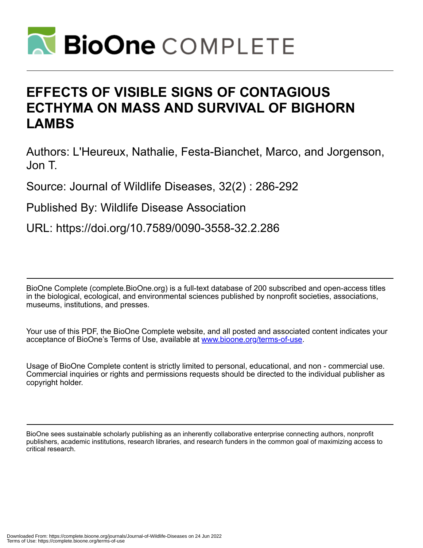

# **EFFECTS OF VISIBLE SIGNS OF CONTAGIOUS ECTHYMA ON MASS AND SURVIVAL OF BIGHORN LAMBS**

Authors: L'Heureux, Nathalie, Festa-Bianchet, Marco, and Jorgenson, Jon T.

Source: Journal of Wildlife Diseases, 32(2) : 286-292

Published By: Wildlife Disease Association

URL: https://doi.org/10.7589/0090-3558-32.2.286

BioOne Complete (complete.BioOne.org) is a full-text database of 200 subscribed and open-access titles in the biological, ecological, and environmental sciences published by nonprofit societies, associations, museums, institutions, and presses.

Your use of this PDF, the BioOne Complete website, and all posted and associated content indicates your acceptance of BioOne's Terms of Use, available at www.bioone.org/terms-of-use.

Usage of BioOne Complete content is strictly limited to personal, educational, and non - commercial use. Commercial inquiries or rights and permissions requests should be directed to the individual publisher as copyright holder.

BioOne sees sustainable scholarly publishing as an inherently collaborative enterprise connecting authors, nonprofit publishers, academic institutions, research libraries, and research funders in the common goal of maximizing access to critical research.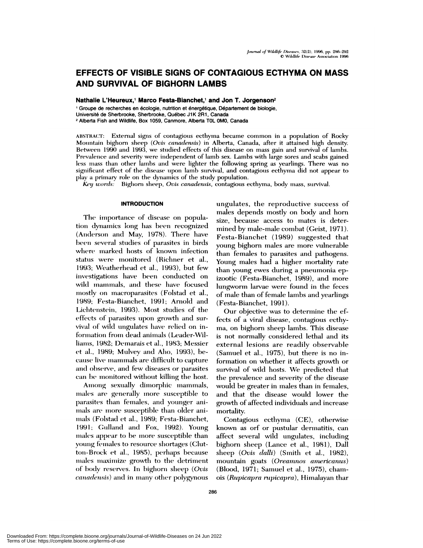# **EFFECTS OF VISIBLE SIGNS OF CONTAGIOUS ECTHYMA ON MASS** AND SURVIVAL OF BIGHORN LAMBS

Nathalie L'Heureux,<sup>1</sup> Marco Festa-Bianchet,<sup>1</sup> and Jon T. Jorgenson<sup>2</sup>

<sup>1</sup> Groupe de recherches en écologie, nutrition et énergétique, Département de biologie, Université de Sherbrooke, Sherbrooke, Québec J1K 2R1, Canada <sup>2</sup> Alberta Fish and Wildlife, Box 1059, Canmore, Alberta T0L 0M0, Canada

ABSTRACT: External signs of contagious ecthyma became common in a population of Rocky Mountain bighorn sheep (Ovis canadensis) in Alberta, Canada, after it attained high density. Between 1990 and 1993, we studied effects of this disease on mass gain and survival of lambs. Prevalence and severity were independent of lamb sex. Lambs with large sores and scabs gained less mass than other lambs and were lighter the following spring as yearlings. There was no significant effect of the disease upon lamb survival, and contagious ecthyma did not appear to play a primary role on the dynamics of the study population.

Key words: Bighorn sheep, Ovis canadensis, contagious ecthyma, body mass, survival.

#### **INTRODUCTION**

The importance of disease on population dynamics long has been recognized (Anderson and May, 1978). There have been several studies of parasites in birds where marked hosts of known infection status were monitored (Richner et al., 1993; Weatherhead et al., 1993), but few investigations have been conducted on wild mammals, and these have focused mostly on macroparasites (Folstad et al., 1989; Festa-Bianchet, 1991; Arnold and Lichtenstein, 1993). Most studies of the effects of parasites upon growth and survival of wild ungulates have relied on information from dead animals (Leader-Williams, 1982; Demarais et al., 1983; Messier et al., 1989; Mulvey and Aho, 1993), because live mammals are difficult to capture and observe, and few diseases or parasites can be monitored without killing the host.

Among sexually dimorphic mammals, males are generally more susceptible to parasites than females, and younger animals are more susceptible than older animals (Folstad et al., 1989; Festa-Bianchet, 1991; Gulland and Fox, 1992). Young males appear to be more susceptible than young females to resource shortages (Clutton-Brock et al., 1985), perhaps because males maximize growth to the detriment of body reserves. In bighorn sheep (Ovis *canadensis*) and in many other polygynous ungulates, the reproductive success of males depends mostly on body and horn size, because access to mates is determined by male-male combat (Geist, 1971). Festa-Bianchet (1989) suggested that young bighorn males are more vulnerable than females to parasites and pathogens. Young males had a higher mortality rate than young ewes during a pneumonia epizootic (Festa-Bianchet, 1989), and more lungworm larvae were found in the feces of male than of female lambs and yearlings (Festa-Bianchet, 1991).

Our objective was to determine the effects of a viral disease, contagious ecthyma, on bighorn sheep lambs. This disease is not normally considered lethal and its external lesions are readily observable (Samuel et al., 1975), but there is no information on whether it affects growth or survival of wild hosts. We predicted that the prevalence and severity of the disease would be greater in males than in females, and that the disease would lower the growth of affected individuals and increase mortality.

Contagious ecthyma (CE), otherwise known as orf or pustular dermatitis, can affect several wild ungulates, including bighorn sheep (Lance et al., 1981), Dall sheep (Ovis dalli) (Smith et al., 1982), mountain goats (Oreamnos americanus) (Blood, 1971; Samuel et al., 1975), chamois (Rupicapra rupicapra), Himalayan thar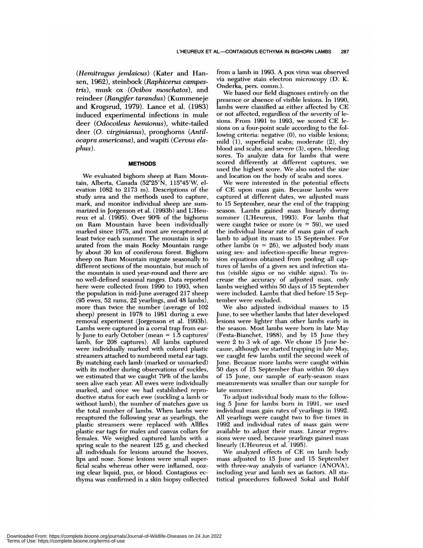*(Hemitragus jemlaicus)* (Kater and Han sen, 1962), steinbock *(Raphicenus campestris),* musk ox *(Ovibos moschatos),* and reindeer *(Rangfer tarandus)* (Kummeneje and Krogsrud, 1979). Lance et a!. (1983) induced experimental infections in mule deer *(Odocoileus hemionus),* white-tailed deer *(0. virginianus),* pronghorns *(Antilocapra americana),* and wapiti *(Gervus elaphus).*

#### **METHODS**

We evaluated bighorn sheep at Ram Mountain, Alberta, Canada (52°25'N, 115°45'W, elevation 1082 to 2173 m). Descriptions of the study area and the methods used to capture, mark, and monitor individual sheep are sum marized in Jorgenson et al. (1993b) and L'Heureux et ai. (1995). Over 90% of the bighorns on Ram Mountain have been individually marked since 1975, and most are recaptured at least twice each summer. The mountain is separated from the main Rocky Mountain range by about 30 km of coniferous forest. Bighorn sheep on Ram Mountain migrate seasonally to different sections of the mountain, but much of the mountain is used year-round and there are no well-defined seasonal ranges. Data reported here were collected from 1990 to 1993, when the population in mid-June averaged 217 sheep (95 ewes, 52 rams, 22 yearlings, and 48 lambs), more than twice the number (average of 102 sheep) present in 1978 to 1981 during a ewe removal experiment (Jorgenson et al. 1993b). Lambs were captured in a corral trap from early June to early October (mean *=* 1.5 captures! lamb, for 208 captures). All lambs captured were individually marked with colored plastic streamers attached to numbered metal ear tags. By matching each lamb (marked or unmarked) with its mother during observations of suckles, we estimated that we caught 79% of the lambs seen alive each year. All ewes were individually marked, and once we had established reproductive status for each ewe (suckling a lamb or without lamb), the number of matches gave us the total number of lambs. When lambs were recaptured the following year as yearlings, the plastic streamers were replaced with Aliflex plastic ear tags for males and canvas collars for females. We weighed captured lambs with a spring scale to the nearest 125 g, and checked all individuals for lesions around the hooves, lips and nose. Some lesions were small superficial scabs whereas other were inflamed, oozing clear liquid, pus, or blood. Contagious ecthyma was confirmed in a skin biopsy collected from a lamb in 1993. A pox virus was observed via negative stain electron microscopy (D. K. Onderka, pers. comm.).

We based our field diagnoses entirely on the presence or absence of visible lesions. In 1990, lambs were classified as either affected by CE or not affected, regardless of the severity of lesions. From 1991 to 1993, we scored CE le sions on a four-point scale according to the following criteria: negative (0), no visible lesions; mild (1), superficial scabs; moderate (2), dry blood and scabs; and severe (3), open, bleeding sores. To analyze data for lambs that were scored differently at different captures, we used the highest score. We also noted the size and location on the body of scabs and sores.

We were interested in the potential effects of CE upon mass gain. Because lambs were captured at different dates, we adjusted mass to 15 September, near the end of the trapping season. Lambs gained mass linearly during summer (L'Heureux, 1993). For lambs that were caught twice or more  $(n = 59)$ , we used the individual linear rate of mass gain of each lamb to adjust its mass to 15 September. For other lambs  $(n = 26)$ , we adjusted body mass using sex- and infection-specific linear regression equations obtained from pooling all captures of lambs of a given sex and infection status (visible signs or no visible signs). To increase the accuracy of adjusted mass, only lambs weighed within 50 days of 15 September were included. Lambs that died before 15 September were excluded.

We also adjusted individual masses to 15 June, to see whether lambs that later developed lesions were lighter than other lambs early in the season. Most lambs were born in late May (Festa-Bianchet, 1988), and by 15 June they were  $2$  to  $3$  wk of age. We chose  $15$  June because, although we started trapping in late May, we caught few lambs until the second week of June. Because more lambs were caught within 50 days of 15 September than within 50 days of 15 June, our sample of early-season mass measurements was smaller than our sample for late summer.

To adjust individual body mass to the following 5 June for lambs born in 1991, we used individual mass gain rates of yearlings in 1992. All yearlings were caught two to five times in 1992 and individual rates of mass gain were available to adjust their mass. Linear regressions were used, because yearlings gained mass linearly (L'Heureux et al. 1995).

We analyzed effects of CE on lamb body mass adjusted to 15 June and 15 September with three-way analysis of variance (ANOVA), including year and lamb sex as factors. All statistical procedures followed Sokal and Rohlf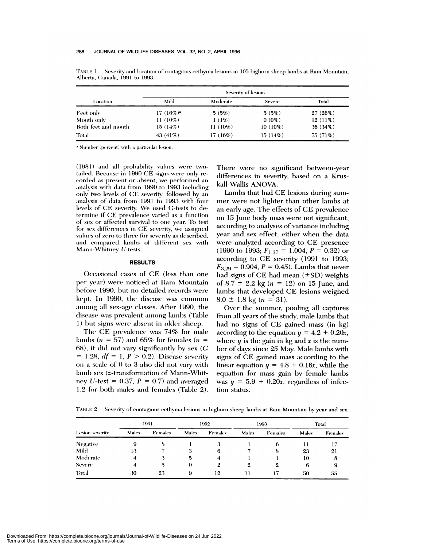| Location            | Severity of lesions |            |               |         |  |  |  |
|---------------------|---------------------|------------|---------------|---------|--|--|--|
|                     | Mild                | Moderate   | <b>Severe</b> | Total   |  |  |  |
| Feet only           | $17(16\%)^a$        | 5(5%)      | 5(5%)         | 27(26%) |  |  |  |
| Mouth only          | $11(10\%)$          | 1(1%)      | $0(0\%)$      | 12(11%) |  |  |  |
| Both feet and mouth | 15(14%)             | $11(10\%)$ | $10(10\%)$    | 36(34%) |  |  |  |
| Total               | 43 $(41\%)$         | 17(16%)    | 15(14%)       | 75(71%) |  |  |  |

TABLE 1. Severity and location of contagious ecthyma lesions in 105 bighorn sheep lambs at Ram Mountain, Alberta, Canada, 1991 to 1993.

<sup>a</sup> Number (percent) with a particular lesion.

(1981) and all probability values were twotailed. Because in 1990 CE signs were only recorded as present or absent, we performed an analysis with data from 1990 to 1993 including only two levels of CE severity, followed by an analysis of data from 1991 to 1993 with four levels of CE severity. We used G-tests to determine if CE prevalence varied as a function of sex or affected survival to one year. To test for sex differences in CE severity, we assigned values of zero to three for severity as described, and compared lambs of different sex with Mann-Whitney U-tests.

# **RESULTS**

Occasional cases of CE (less than one per year) were noticed at Ram Mountain before 1990, but no detailed records were kept. In 1990, the disease was common among all sex-age classes. After 1990, the disease was prevalent among lambs (Table 1) but signs were absent in older sheep.

The CE prevalence was 74% for male lambs ( $n = 57$ ) and 65% for females ( $n =$ 68); it did not vary significantly by sex  $(G)$ = 1.28,  $df = 1$ ,  $P > 0.2$ ). Disease severity on a scale of 0 to 3 also did not vary with lamb sex (z-transformation of Mann-Whitney U-test =  $0.37$ ,  $P = 0.7$  and averaged 1.2 for both males and females (Table 2). There were no significant between-year differences in severity, based on a Kruskall-Wallis ANOVA.

Lambs that had CE lesions during summer were not lighter than other lambs at an early age. The effects of CE prevalence on 15 June body mass were not significant, according to analyses of variance including year and sex effect, either when the data were analyzed according to CE presence (1990 to 1993;  $F_{1,37} = 1.004$ ,  $P = 0.32$ ) or according to CE severity (1991 to 1993;  $F_{3,29} = 0.904$ ,  $P = 0.45$ ). Lambs that never had signs of  $CE$  had mean  $(\pm SD)$  weights of 8.7  $\pm$  2.2 kg (n = 12) on 15 June, and lambs that developed CE lesions weighed  $8.0 \pm 1.8$  kg (n = 31).

Over the summer, pooling all captures from all years of the study, male lambs that had no signs of CE gained mass (in kg) according to the equation  $y = 4.2 + 0.20x$ , where  $y$  is the gain in kg and  $x$  is the number of days since 25 May. Male lambs with signs of CE gained mass according to the linear equation  $y = 4.8 + 0.16x$ , while the equation for mass gain by female lambs was  $y = 5.9 + 0.20x$ , regardless of infection status.

TABLE 2. Severity of contagious ecthyma lesions in bighorn sheep lambs at Ram Mountain by year and sex.

| Lesion severity | 1991  |         | 1992        |                | 1993  |         | Total |         |
|-----------------|-------|---------|-------------|----------------|-------|---------|-------|---------|
|                 | Males | Females | Males       | <b>Females</b> | Males | Females | Males | Females |
| <b>Negative</b> | 9     | 8       |             | 3              |       | 6       | 11    |         |
| Mild            | 13    |         | 3           | 6              |       | 8       | 23    | 21      |
| Moderate        | 4     | -3      | $5^{\circ}$ | 4              |       |         | 10    | 8       |
| <b>Severe</b>   | 4     | 5       | $\theta$    | 2              | 2     | 2       | 6     | 9       |
| Total           | 30    | 23      | 9           | 12             | !!    |         | 50    | 55      |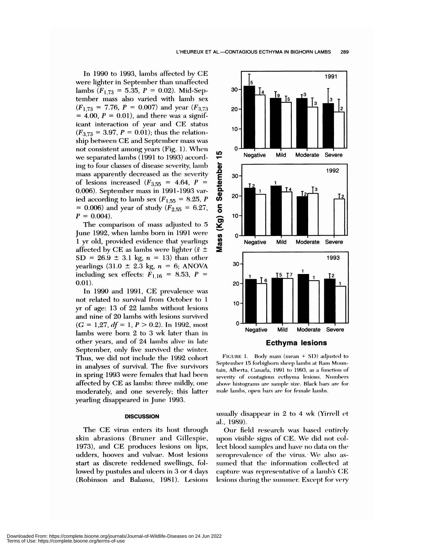In 1990 to 1993, lambs affected by CE were lighter in September than unaffected lambs  $(F_{1,73} = 5.35, P = 0.02)$ . Mid-September mass also varied with lamb sex  $(F_{1,73} = 7.76, P = 0.007)$  and year  $(F_{3,73}$  $=$  4.00,  $P = 0.01$ ), and there was a significant interaction of year and CE status  $(F_{3.73} = 3.97, P = 0.01)$ ; thus the relationship between CE and September mass was not consistent among years (Fig. 1). When we separated lambs (1991 to 1993) according to four classes of disease severity, lamb mass apparently decreased as the severity of lesions increased  $(F_{3,55} = 4.64, P =$ 0.006). September mass in 1991-1993 varied according to lamb sex  $(F_{1.55} = 8.25, P)$ *<sup>=</sup>* 0.006) and year of study *(F255 <sup>=</sup>* 6.27,  $P = 0.004$ .

The comparison of mass adjusted to 5 June 1992, when lambs born in 1991 were 1 yr old, provided evidence that yearlings affected by CE as lambs were lighter ( $\bar{x} \pm$  $SD = 26.9 \pm 3.1$  kg,  $n = 13$ ) than other yearlings  $(31.0 \pm 2.3 \text{ kg}, n = 6; ANOVA)$ including sex effects:  $F_{1,16} = 8.53, P =$ 0.01).

In 1990 and 1991, CE prevalence was not related to survival from October to 1 yr of age: 13 of 22 lambs without lesions and nine of 20 lambs with lesions survived  $(G = 1.27, df = 1, P > 0.2)$ . In 1992, most lambs were born 2 to 3 wk later than in other years, and of 24 lambs alive in late September, only five survived the winter. Thus, we did not include the 1992 cohort in analyses of survival. The five survivors in spring 1993 were females that had been affected by CE as lambs: three mildly, one moderately, and one severely; this latter yearling disappeared in June 1993.

#### **DISCUSSION**

The CE virus enters its host through skin abrasions (Bruner and Gillespie, 1973), and CE produces lesions on lips, udders, hooves and vulvae. Most lesions start as discrete reddened swellings, followed by pustules and ulcers in 3 or 4 days (Robinson and Balassu, 1981). Lesions



FIGURE 1. Body mass (mean + SD) adjusted to September 15 forbighorn sheep lambs at Ram Mountain, Alberta, Canada, 1991 to 1993, as a function of severity of contagious ecthyma lesions. Numbers above histograms are sample size. Black bars are for male lambs, open bars are for female lambs.

usually disappear in  $2$  to  $4 \le K$  (Yirrell et a!., 1989).

Our field research was based entirely upon visible signs of CE. We did not collect blood samples and have no data on the seroprevalence of the virus. We also assumed that the information collected at capture was representative of a lamb's CE lesions during the summer. Except for very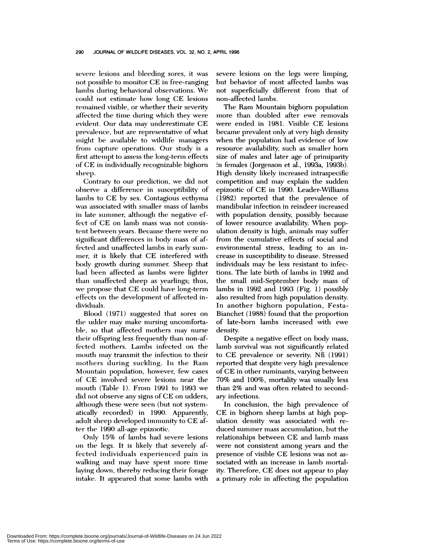severe lesions and bleeding sores, it was not possible to monitor CE in free-ranging lambs during behavioral observations. We could not estimate how long CE lesions remained visible, or whether their severity affected the time during which they were evident. Our data may underestimate CE prevalence, but are representative of what might be available to wildlife managers from capture operations. Our study is a first attempt to assess the long-term effects of CE in individually recognizable bighorn sheep.

Contrary to our prediction, we did not observe a difference in susceptibility of lambs to CE by sex. Contagious ecthyma was associated with smnaller mass of lambs in late summer, although the negative effect of CE on lamb mass was not consistent between years. Because there were no significant differences in body mass of affected and unaffected lambs in early sum mer, it is likely that CE interfered with body growth during summer. Sheep that had been affected as lambs were lighter than unaffected sheep as yearlings; thus, we propose that CE could have long-term effects on the development of affected individuals.

Blood! (1971) suggested that sores on the udder may make nursing uncomfortable, so that affected mothers may nurse their offspring less frequently than non-affected mothers. Lambs infected on the mouth may transmit the infection to their mothers during suckling. In the Ram Mountain population, however, few cases of CE involved severe lesions near the mouth (Table 1). From 1991 to 1993 we did not observe any signs of CE on udders, although these were seen (but not systematically recorded) in 1990. Apparently, adult sheep developed immunity to CE after the 1990 all-age epizootic.

Only 15% of lambs had severe lesions on the legs. It is likely that severely affected individuals experienced pain in walking and may have spent more time laying down, thereby reducing their forage intake. It appeared that some lambs with severe lesions on the legs were limping, but behavior of most affected lambs was not superficially different from that of non-affected lambs.

The Ram Mountain bighorn population more than doubled after ewe removals were ended in 1981. Visible CE lesions became prevalent only at very high density when the population had evidence of low resource availability, such as smaller horn size of males and later age of primiparity in females (Jorgenson et a!., 1993a, 1993b). High density likely increased intraspecific competition and may explain the sudden epizootic of CE in 1990. Leader-Williams (1982) reported that the prevalence of mandibular infection in reindeer increased with population density, possibly because of lower resource availability. When population density is high, animals may suffer from the cumulative effects of social and environmental stress, leading to an in crease in susceptibility to disease. Stressed individuals may be less resistant to infections. The late birth of lambs in 1992 and the small mid-September body mass of lambs in 1992 and 1993 (Fig. 1) possibly also resulted from high population density. In another bighorn population, Festa-Bianchet (1988) found that the proportion of late-born lambs increased with ewe density.

Despite a negative effect on body mass, lamb survival was not significantly related to CE prevalence or severity. Nfl (1991) reported that despite very high prevalence of CE in other ruminants, varying between 70% and 100%, mortality was usually less than 2% and was often related to secondary infections.

In conclusion, the high prevalence of CE in bighorn sheep lambs at high population density was associated with re duced summer mass accumulation, but the relationships between CE and lamb mass were not consistent among years and the presence of visible CE lesions was not as sociated with an increase in lamb mortality. Therefore, CE does not appear to play a primary role in affecting the population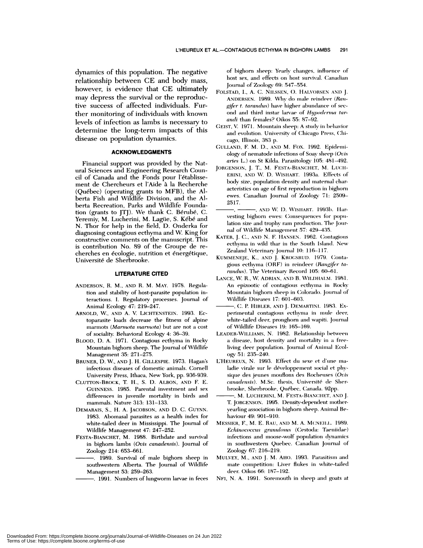dynamics of this population. The negative relationship between CE and body mass, however, is evidence that CE ultimately may depress the survival or the reproductive success of affected individuals. Further monitoring of individuals with known levels of infection as lambs is necessary to determine the long-term impacts of this disease on population dynamics.

## **ACKNOWLEDGMENTS**

Financial support was provided by the Nat ural Sciences and Engineering Research Council of Canada and the Fonds pour l'établissement de Chercheurs et l'Aide à la Recherche  $(Québec)$  (operating grants to MFB), the Alberta Fish and Wildlife Division, and the Alberta Recreation, Parks and Wildlife Foundation (grants to JTJ). We thank C. Bérubé, C.<br>Yeremiy, M. Lucherini, M. Lagüe, S. Kébé and N. Thor for help in the field, D. Onderka for diagnosing contagious ecthyma and W. King for constructive comments on the manuscript. This is contribution No. 89 of the Groupe de re cherches en écologie, nutrition et énergétique, Université de Sherbrooke.

## **LITERATURE CITED**

- ANDERSON, R. M., AND R.M. MAY. 1978. Regulation and stability of host-parasite population interactions. I. Regulatory processes. Journal of Animal Ecology 47: 219-247.
- ARNOLD, W., AND A. V. LICHTENSTEIN. 1993. Ectoparasite loads decrease the fitness of alpine marmots *(Marnwta* marmota) but are not a cost of sociality. Behavioral Ecology 4: 36-39.
- BLOOD, D. **A.** 1971. Contagious ecthyma in Rocky Mountain bighorn sheep. The Journal of Wildlife Management 35: 271-275.
- BRUNER, D. W., AND J. H. **CILLESPIE.** 1973. Hagan's infectious diseases of domestic animals. Cornell University Press, Ithaca, New York, pp. 936-939.
- CLUTTON-BROCK, T H., S. D. ALBON, AND F. E. CUINNESS. 1985. Parental investment and sex differences in juvenile mortality in birds and mammals. Nature 313: 131-133.
- DEMARAIS, S., H. A. JACOBSON, AND D. C. CUYNN. 1983. Abomasal parasites as a health index for white-tailed deer in Mississippi. The Journal of Wildlife Management 47: 247-252.
- FESTA-BIANCHET, M. 1988. Birthdate and survival in bighorn lambs *(Ovis canadensis)*. Journal of Zoology 214: 653-661.
- southwestern Alberta. The Journal of Wildlife Management 53: 259-263.
	- -. 1991. Numbers of lungworm larvae in feces

of bighorn sheep: Yearly changes, influence of host sex, and effects on host survival. Canadian Journal of Zoology 69: 547-554.

- FOLSTAD, I., A. C. NILSSEN, O. HALVORSEN AND J. ANDERSEN. 1989. Why do male reindeer (Ran*gifer t. tarandus*) have higher abundance of second and third instar larvae of *Hypoderma tarandi* than females? Oikos 55: 87-92.
- GEIST, V. 1971. Mountain sheep: A study in behavior and evolution. University of Chicago Press, Chi-
- cago, Illinois, 383 p.<br>GULLAND, F. M. D., AND M. FOX. 1992. Epidemiology of nematode infections of Soay sheep (Ovis aries L.) on St Kilda. Parasitology 105: 481-492.
- JORGENSON, J. T., M. FESTA-BIANCHET, M. LUCH-ERINI, AND W. D. WISHART. 1993a. Effects of body size, population density and maternal characteristics on age of first reproduction in bighorn ewes. Canadian Journal of Zoology 71: 2509-2517.
- *, ,* ANt) W. I). WIsIIAIiT. 199:3h. liar vesting bighorn ewes: Consequences for population size and trophy ram production. The Journal of Wildlife Management 57: 429-435.
- KATER, J. C., AND N. F. HANSEN. 1962. Contagious ecthyma in wild thar in the South Island. New Zealand Veterinary Journal 10: 116-117.
- KUMMENEJE, K., AND J. KR0GsRuD. 1979. Conta gious ecthyma (ORF) in reindeer (Rangifer tarandus). The Veterinary Record 105: 60-61.
- LANCE, W. R., W. ADRIAN, AND B. WILDHALM. 1981. An epizootic of contagious ecthyma in Rocky Mountain bighorn sheep in Colorado. Journal of Wildlife Diseases 17: 601-603.
- C. P. **HIBLER, ANI)** J. **DEMARTINI.** 1983. Ex perimental contagious ecthyma in mule deer, white-tailed deer, pronghorn and wapiti. Journal of Wildlife Diseases **19: 165-169.**
- LEADER-WILLIAMS, N. 1982. Relationship between a disease, host density and mortality in a freeliving deer population. Journal of Animal Ecology 51: 235-240.
- L'HEUREUX, N. 1993. Effect du sexe et d'une maladie virale sur le développement social et physique des jeunes mouflons des Rocheuses (Ovis canadensis). M.Sc. thesis, Université de Sherbrooke, Sherbrooke, Québec, Canada. 92pp.
- M. LUCHERINI, M. FESTA-BIANCIIET, AND J. T. JORGENSON. 1995. Density-dependent motheryearling association in bighorn sheep. Animal Behaviour 49: 901-910.
- MESSIER, F., M. E. RAU, AND M. A. MCNEILL. 1989. *Echinococcus granulo.sus* (Cestoda: Taeniidae) infections and moose-wolf population dynamics in southwestern Quebec. Canadian Journal of Zoology 67: 216-219.
- 1989. Survival of male bighorn sheep in MULVEY, M., AND J. M. AHO. 1993. Parasitism and mate competition: Liver flukes in white-tailed deer. Oikos 66: 187-192.
	- NFI, N. A. 1991. Soremouth in sheep and goats at